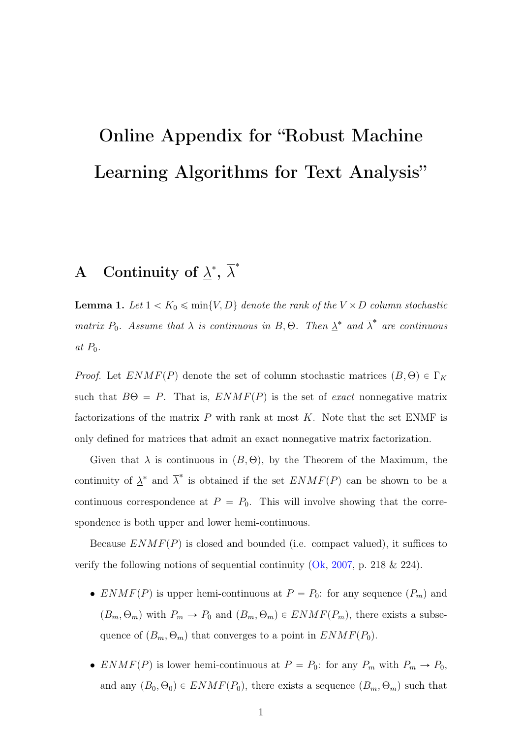# Online Appendix for "Robust Machine Learning Algorithms for Text Analysis"

## A Continuity of  $\lambda^*, \overline{\lambda}^*$

**Lemma 1.** Let  $1 < K_0 \leq \min\{V, D\}$  denote the rank of the  $V \times D$  column stochastic matrix  $P_0$ . Assume that  $\lambda$  is continuous in  $B$ ,  $\Theta$ . Then  $\underline{\lambda}^*$  and  $\overline{\lambda}^*$  are continuous at  $P_0$ .

*Proof.* Let  $ENMF(P)$  denote the set of column stochastic matrices  $(B, \Theta) \in \Gamma_K$ such that  $B\Theta = P$ . That is,  $ENMF(P)$  is the set of *exact* nonnegative matrix factorizations of the matrix  $P$  with rank at most  $K$ . Note that the set ENMF is only defined for matrices that admit an exact nonnegative matrix factorization.

Given that  $\lambda$  is continuous in  $(B, \Theta)$ , by the Theorem of the Maximum, the continuity of  $\underline{\lambda}^*$  and  $\overline{\lambda}^*$  is obtained if the set  $ENMF(P)$  can be shown to be a continuous correspondence at  $P = P_0$ . This will involve showing that the correspondence is both upper and lower hemi-continuous.

Because  $ENMF(P)$  is closed and bounded (i.e. compact valued), it suffices to verify the following notions of sequential continuity  $(Ok, 2007, p. 218 \& 224)$  $(Ok, 2007, p. 218 \& 224)$  $(Ok, 2007, p. 218 \& 224)$  $(Ok, 2007, p. 218 \& 224)$ .

- $ENMF(P)$  is upper hemi-continuous at  $P = P_0$ : for any sequence  $(P_m)$  and  $(B_m, \Theta_m)$  with  $P_m \to P_0$  and  $(B_m, \Theta_m) \in ENMF(P_m)$ , there exists a subsequence of  $(B_m, \Theta_m)$  that converges to a point in  $ENMF(P_0)$ .
- $ENMF(P)$  is lower hemi-continuous at  $P = P_0$ : for any  $P_m$  with  $P_m \to P_0$ , and any  $(B_0, \Theta_0) \in ENMF(P_0)$ , there exists a sequence  $(B_m, \Theta_m)$  such that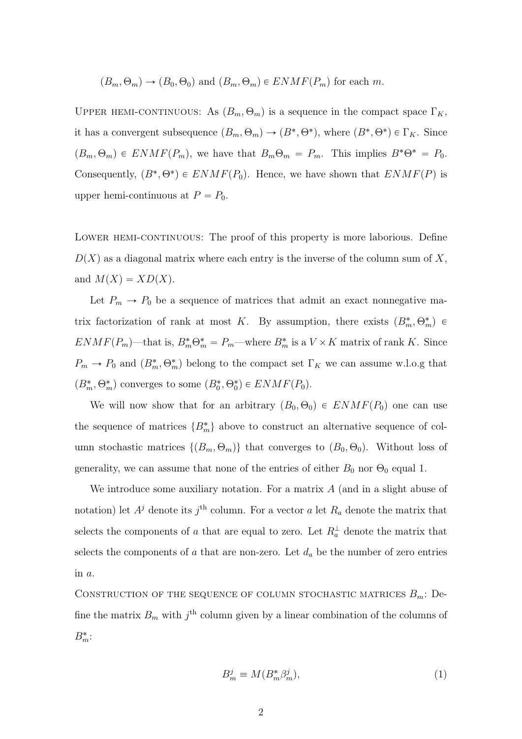$$
(B_m, \Theta_m) \to (B_0, \Theta_0)
$$
 and  $(B_m, \Theta_m) \in ENMF(P_m)$  for each m.

UPPER HEMI-CONTINUOUS: As  $(B_m, \Theta_m)$  is a sequence in the compact space  $\Gamma_K$ , it has a convergent subsequence  $(B_m, \Theta_m) \to (B^*, \Theta^*)$ , where  $(B^*, \Theta^*) \in \Gamma_K$ . Since  $(B_m, \Theta_m) \in \text{ENMF}(P_m)$ , we have that  $B_m\Theta_m = P_m$ . This implies  $B^*\Theta^* = P_0$ . Consequently,  $(B^*, \Theta^*) \in ENMF(P_0)$ . Hence, we have shown that  $ENMF(P)$  is upper hemi-continuous at  $P = P_0$ .

LOWER HEMI-CONTINUOUS: The proof of this property is more laborious. Define  $D(X)$  as a diagonal matrix where each entry is the inverse of the column sum of X, and  $M(X) = XD(X)$ .

Let  $P_m \to P_0$  be a sequence of matrices that admit an exact nonnegative matrix factorization of rank at most K. By assumption, there exists  $(B_m^*, \Theta_m^*) \in$  $ENMF(P_m)$ —that is,  $B_m^* \Theta_m^* = P_m$ —where  $B_m^*$  is a  $V \times K$  matrix of rank K. Since  $P_m \to P_0$  and  $(B_m^*, \Theta_m^*)$  belong to the compact set  $\Gamma_K$  we can assume w.l.o.g that  $(B_m^*, \Theta_m^*)$  converges to some  $(B_0^*, \Theta_0^*) \in ENMF(P_0)$ .

We will now show that for an arbitrary  $(B_0, \Theta_0) \in ENMF(P_0)$  one can use the sequence of matrices  $\{B_m^*\}$  above to construct an alternative sequence of column stochastic matrices  $\{(B_m, \Theta_m)\}\$  that converges to  $(B_0, \Theta_0)$ . Without loss of generality, we can assume that none of the entries of either  $B_0$  nor  $\Theta_0$  equal 1.

We introduce some auxiliary notation. For a matrix  $A$  (and in a slight abuse of notation) let  $A^j$  denote its  $j^{\text{th}}$  column. For a vector a let  $R_a$  denote the matrix that selects the components of a that are equal to zero. Let  $R_a^{\perp}$  denote the matrix that selects the components of a that are non-zero. Let  $d_a$  be the number of zero entries in a.

CONSTRUCTION OF THE SEQUENCE OF COLUMN STOCHASTIC MATRICES  $B_m$ : Define the matrix  $B_m$  with  $j<sup>th</sup>$  column given by a linear combination of the columns of  $B_m^*$ :

$$
B_m^j \equiv M(B_m^* \beta_m^j),\tag{1}
$$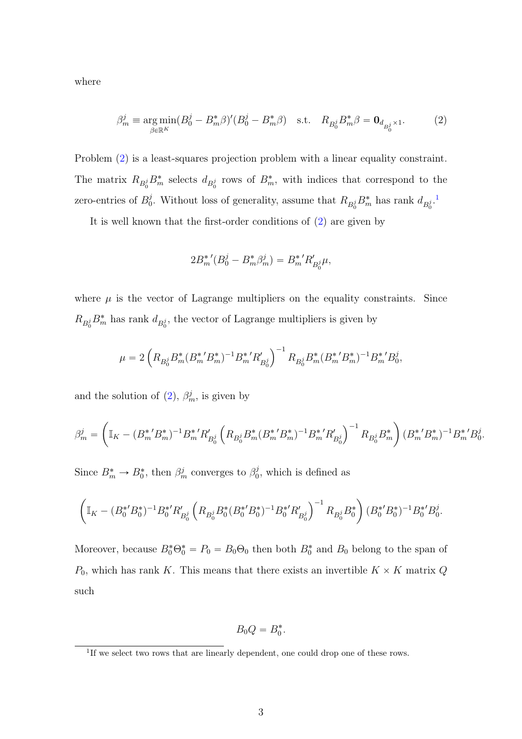where

$$
\beta_m^j \equiv \underset{\beta \in \mathbb{R}^K}{\arg \min} (B_0^j - B_m^* \beta)' (B_0^j - B_m^* \beta) \quad \text{s.t.} \quad R_{B_0^j} B_m^* \beta = \mathbf{0}_{d_{B_0^j} \times 1}.
$$
 (2)

Problem [\(2\)](#page-2-0) is a least-squares projection problem with a linear equality constraint. The matrix  $R_{B_0^j}B_m^*$  selects  $d_{B_0^j}$  rows of  $B_m^*$ , with indices that correspond to the zero-entries of  $B_0^j$ <sup>j</sup>. Without loss of generality, assume that  $R_{B_0^j} B_m^*$  has rank  $d_{B_0^j}$ .<sup>[1](#page-2-1)</sup>

It is well known that the first-order conditions of [\(2\)](#page-2-0) are given by

<span id="page-2-0"></span>
$$
2B_m^{*'}(B_0^j - B_m^* \beta_m^j) = B_m^{*'} R'_{B_0^j} \mu,
$$

where  $\mu$  is the vector of Lagrange multipliers on the equality constraints. Since  $R_{B_0^j} B_m^*$  has rank  $d_{B_0^j}$ , the vector of Lagrange multipliers is given by

$$
\mu = 2 \left( R_{B_0^j} B_m^* (B_m^{*'} B_m^*)^{-1} B_m^{*'} R'_{B_0^j} \right)^{-1} R_{B_0^j} B_m^* (B_m^{*'} B_m^*)^{-1} B_m^{*'} B_0^j,
$$

and the solution of  $(2)$ ,  $\beta_m^j$ , is given by

$$
\beta_m^j = \left(\mathbb{I}_K - (B_m^{*'} B_m^*)^{-1} B_m^{*'} R_{B_0^j}' \left(R_{B_0^j} B_m^* (B_m^{*'} B_m^*)^{-1} B_m^{*'} R_{B_0^j}'\right)^{-1} R_{B_0^j} B_m^*\right) (B_m^{*'} B_m^*)^{-1} B_m^{*'} B_0^j.
$$

Since  $B_m^* \to B_0^*$ , then  $\beta_m^j$  converges to  $\beta_0^j$  $_{0}^{j}$ , which is defined as

$$
\left(\mathbb{I}_{K}-(B_{0}^{*'}B_{0}^{*})^{-1}B_{0}^{*'}R'_{B_{0}^{j}}\left(R_{B_{0}^{j}}B_{0}^{*}(B_{0}^{*'}B_{0}^{*})^{-1}B_{0}^{*'}R'_{B_{0}^{j}}\right)^{-1}R_{B_{0}^{j}}B_{0}^{*}\right)(B_{0}^{*'}B_{0}^{*})^{-1}B_{0}^{*'}B_{0}^{j}.
$$

Moreover, because  $B_0^* \Theta_0^* = P_0 = B_0 \Theta_0$  then both  $B_0^*$  and  $B_0$  belong to the span of  $P_0$ , which has rank K. This means that there exists an invertible  $K \times K$  matrix Q such

$$
B_0Q=B_0^*.
$$

<span id="page-2-1"></span><sup>&</sup>lt;sup>1</sup>If we select two rows that are linearly dependent, one could drop one of these rows.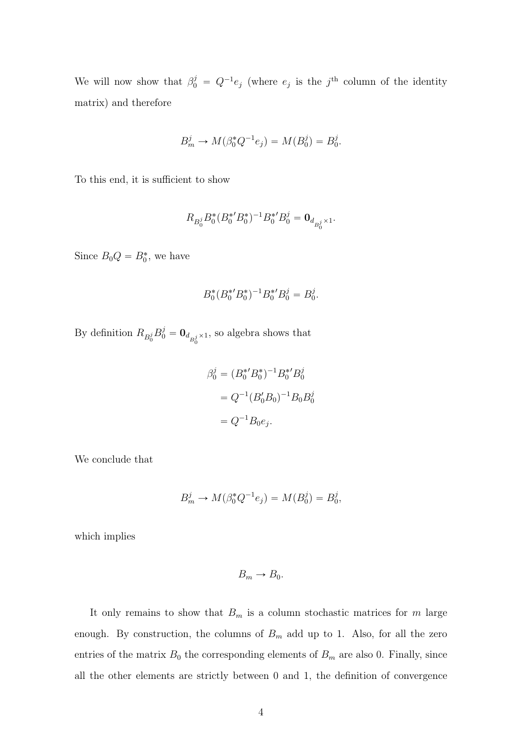We will now show that  $\beta_0^j = Q^{-1}e_j$  (where  $e_j$  is the j<sup>th</sup> column of the identity matrix) and therefore

$$
B_m^j \to M(\beta_0^* Q^{-1} e_j) = M(B_0^j) = B_0^j.
$$

To this end, it is sufficient to show

$$
R_{B_0^j} B_0^*(B_0^{*\prime}B_0^{*})^{-1} B_0^{*\prime} B_0^j = \textbf{0}_{d_{B_0^j}\times 1}.
$$

Since  $B_0Q = B_0^*$ , we have

$$
B_0^*(B_0^{*\prime}B_0^*)^{-1}B_0^{*\prime}B_0^j = B_0^j.
$$

By definition  $R_{B_0^j} B_0^j = \mathbf{0}_{d_{B_0^j} \times 1}$ , so algebra shows that

$$
\beta_0^j = (B_0^{*'} B_0^{*})^{-1} B_0^{*'} B_0^j
$$
  
=  $Q^{-1} (B_0' B_0)^{-1} B_0 B_0^j$   
=  $Q^{-1} B_0 e_j$ .

We conclude that

$$
B_m^j \to M(\beta_0^* Q^{-1} e_j) = M(B_0^j) = B_0^j,
$$

which implies

$$
B_m \to B_0.
$$

It only remains to show that  $B_m$  is a column stochastic matrices for m large enough. By construction, the columns of  $B<sub>m</sub>$  add up to 1. Also, for all the zero entries of the matrix  $B_0$  the corresponding elements of  $B_m$  are also 0. Finally, since all the other elements are strictly between 0 and 1, the definition of convergence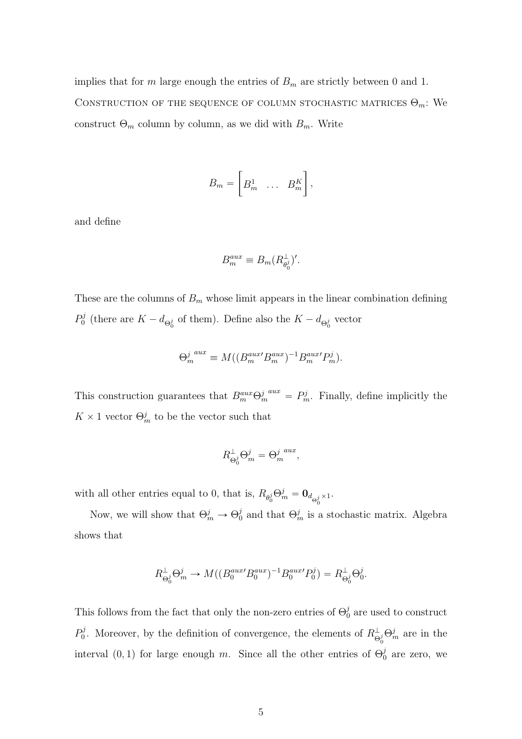implies that for  $m$  large enough the entries of  $B_m$  are strictly between 0 and 1. CONSTRUCTION OF THE SEQUENCE OF COLUMN STOCHASTIC MATRICES  $\Theta_m$ : We construct  $\Theta_m$  column by column, as we did with  $B_m$ . Write

$$
B_m = \begin{bmatrix} B_m^1 & \dots & B_m^K \end{bmatrix},
$$

and define

$$
B_m^{aux} \equiv B_m (R_{\theta_0^j}^\perp)'.
$$

These are the columns of  $B_m$  whose limit appears in the linear combination defining  $P_0^j$  $\delta_0^j$  (there are  $K - d_{\Theta_0^j}$  of them). Define also the  $K - d_{\Theta_0^j}$  vector

$$
\Theta_m^j{}^{aux} \equiv M((B_m^{aux'}B_m^{aux})^{-1}B_m^{aux'}P_m^j).
$$

This construction guarantees that  $B_m^{aux} \Theta_m^{j \text{ aux}} = P_m^j$ . Finally, define implicitly the  $K \times 1$  vector  $\Theta_m^j$  to be the vector such that

$$
R^{\perp}_{\Theta_0^j} \Theta_m^j = {\Theta_m^j}^{aux},
$$

with all other entries equal to 0, that is,  $R_{\theta_0^j} \Theta_m^j = \mathbf{0}_{d_{\Theta_0^j} \times 1}$ .

Now, we will show that  $\Theta_m^j \to \Theta_0^j$  $\frac{j}{0}$  and that  $\Theta_m^j$  is a stochastic matrix. Algebra shows that

$$
R^{\perp}_{\Theta_0^j} \Theta_m^j \to M((B_0^{aux'} B_0^{aux})^{-1} B_0^{aux'} P_0^j) = R^{\perp}_{\Theta_0^j} \Theta_0^j.
$$

This follows from the fact that only the non-zero entries of  $\Theta_0^j$  $\frac{J}{0}$  are used to construct  $P_0^j$ <sup>o</sup>, Moreover, by the definition of convergence, the elements of  $R^{\perp}_{\Theta_0^j}\Theta_m^j$  are in the interval (0, 1) for large enough m. Since all the other entries of  $\Theta_0^j$  $_0^j$  are zero, we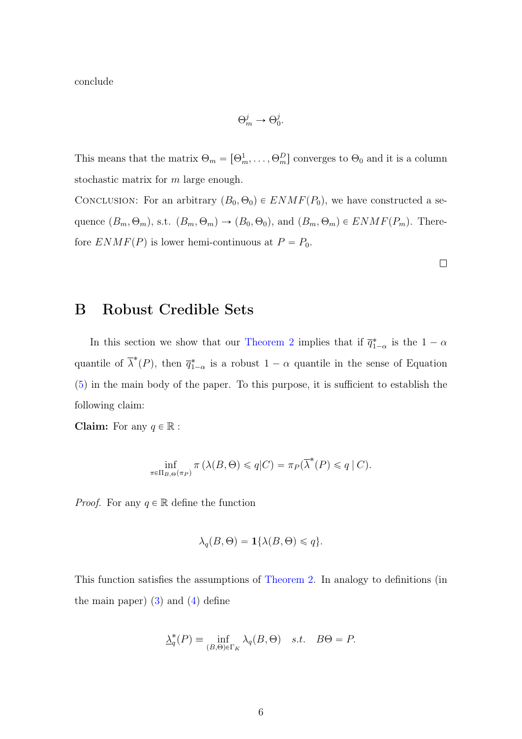conclude

$$
\Theta_m^j \to \Theta_0^j.
$$

This means that the matrix  $\Theta_m = [\Theta_m^1, \dots, \Theta_m^D]$  converges to  $\Theta_0$  and it is a column stochastic matrix for m large enough.

CONCLUSION: For an arbitrary  $(B_0, \Theta_0) \in ENMF(P_0)$ , we have constructed a sequence  $(B_m, \Theta_m)$ , s.t.  $(B_m, \Theta_m) \to (B_0, \Theta_0)$ , and  $(B_m, \Theta_m) \in ENMF(P_m)$ . Therefore  $ENMF(P)$  is lower hemi-continuous at  $P = P_0$ .

 $\Box$ 

## B Robust Credible Sets

In this section we show that our Theorem 2 implies that if  $\overline{q}_{1-\alpha}^*$  is the  $1-\alpha$ quantile of  $\overline{\lambda}^*(P)$ , then  $\overline{q}_{1-\alpha}^*$  is a robust  $1-\alpha$  quantile in the sense of Equation (5) in the main body of the paper. To this purpose, it is sufficient to establish the following claim:

**Claim:** For any  $q \in \mathbb{R}$ :

$$
\inf_{\pi \in \Pi_{B,\Theta}(\pi_P)} \pi(\lambda(B,\Theta) \leqslant q|C) = \pi_P(\overline{\lambda}^*(P) \leqslant q|C).
$$

*Proof.* For any  $q \in \mathbb{R}$  define the function

$$
\lambda_q(B,\Theta) = \mathbf{1}\{\lambda(B,\Theta) \leq q\}.
$$

This function satisfies the assumptions of Theorem 2. In analogy to definitions (in the main paper)  $(3)$  and  $(4)$  define

$$
\underline{\lambda}_q^*(P) \equiv \inf_{(B,\Theta)\in\Gamma_K} \lambda_q(B,\Theta) \quad s.t. \quad B\Theta = P.
$$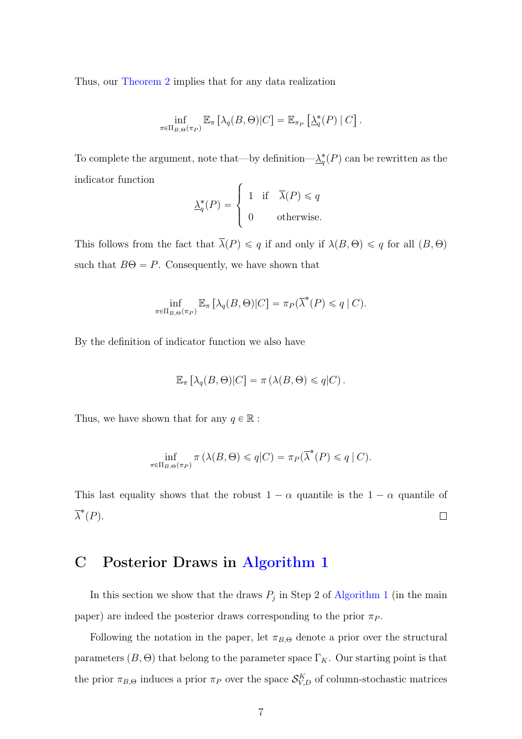Thus, our Theorem 2 implies that for any data realization

$$
\inf_{\pi \in \Pi_{B,\Theta}(\pi_P)} \mathbb{E}_{\pi} \left[ \lambda_q(B,\Theta) | C \right] = \mathbb{E}_{\pi_P} \left[ \underline{\lambda}_q^*(P) | C \right].
$$

To complete the argument, note that—by definition— $\lambda_q^*(P)$  can be rewritten as the indicator function

$$
\underline{\lambda}_q^*(P) = \begin{cases} 1 & \text{if } \bar{\lambda}(P) \le q \\ 0 & \text{otherwise.} \end{cases}
$$

This follows from the fact that  $\overline{\lambda}(P) \leq q$  if and only if  $\lambda(B, \Theta) \leq q$  for all  $(B, \Theta)$ such that  $B\Theta = P$ . Consequently, we have shown that

$$
\inf_{\pi \in \Pi_{B,\Theta}(\pi_P)} \mathbb{E}_{\pi} \left[ \lambda_q(B,\Theta) | C \right] = \pi_P(\overline{\lambda}^*(P) \leqslant q \mid C).
$$

By the definition of indicator function we also have

$$
\mathbb{E}_{\pi} \left[ \lambda_q(B, \Theta) | C \right] = \pi \left( \lambda(B, \Theta) \leqslant q | C \right).
$$

Thus, we have shown that for any  $q \in \mathbb{R}$ :

$$
\inf_{\pi \in \Pi_{B,\Theta}(\pi_P)} \pi(\lambda(B,\Theta) \leqslant q|C) = \pi_P(\overline{\lambda}^*(P) \leqslant q|C).
$$

This last equality shows that the robust  $1 - \alpha$  quantile is the  $1 - \alpha$  quantile of  $\overline{\lambda}^*(P)$ .  $\Box$ 

### C Posterior Draws in Algorithm 1

In this section we show that the draws  $P_j$  in Step 2 of Algorithm 1 (in the main paper) are indeed the posterior draws corresponding to the prior  $\pi_P$ .

Following the notation in the paper, let  $\pi_{B,\Theta}$  denote a prior over the structural parameters  $(B, \Theta)$  that belong to the parameter space  $\Gamma_K$ . Our starting point is that the prior  $\pi_{B,\Theta}$  induces a prior  $\pi_P$  over the space  $\mathcal{S}_{V,D}^K$  of column-stochastic matrices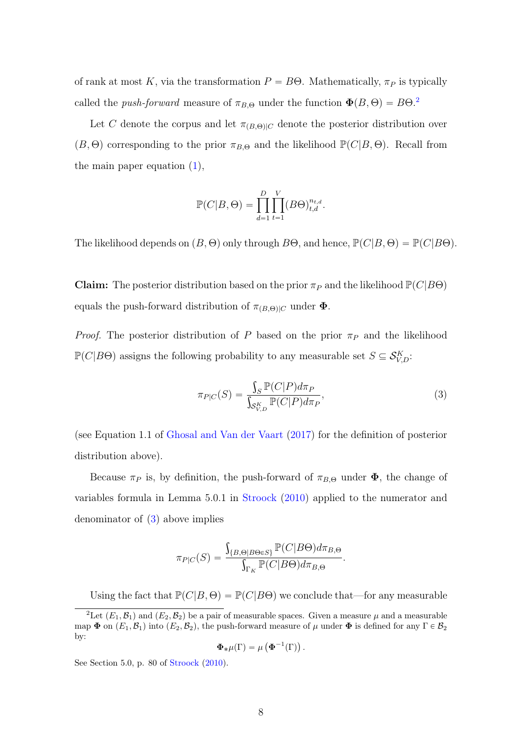of rank at most K, via the transformation  $P = B\Theta$ . Mathematically,  $\pi_P$  is typically called the *push-forward* measure of  $\pi_{B,\Theta}$  under the function  $\Phi(B,\Theta) = B\Theta^2$  $\Phi(B,\Theta) = B\Theta^2$ .

Let C denote the corpus and let  $\pi_{(B,\Theta)|C}$  denote the posterior distribution over  $(B, \Theta)$  corresponding to the prior  $\pi_{B,\Theta}$  and the likelihood  $\mathbb{P}(C|B, \Theta)$ . Recall from the main paper equation (1),

$$
\mathbb{P}(C|B,\Theta) = \prod_{d=1}^{D} \prod_{t=1}^{V} (B\Theta)_{t,d}^{n_{t,d}}.
$$

The likelihood depends on  $(B, \Theta)$  only through  $B\Theta$ , and hence,  $\mathbb{P}(C|B, \Theta) = \mathbb{P}(C|B\Theta)$ .

**Claim:** The posterior distribution based on the prior  $\pi_P$  and the likelihood  $\mathbb{P}(C|B\Theta)$ equals the push-forward distribution of  $\pi_{(B,\Theta)|C}$  under  $\Phi$ .

*Proof.* The posterior distribution of P based on the prior  $\pi_P$  and the likelihood  $\mathbb{P}(C|B\Theta)$  assigns the following probability to any measurable set  $S \subseteq \mathcal{S}_{V,D}^{K}$ :

<span id="page-7-1"></span>
$$
\pi_{P|C}(S) = \frac{\int_{S} \mathbb{P}(C|P)d\pi_{P}}{\int_{\mathcal{S}_{V,D}^{K}} \mathbb{P}(C|P)d\pi_{P}},\tag{3}
$$

(see Equation 1.1 of [Ghosal and Van der Vaart](#page-19-1) [\(2017\)](#page-19-1) for the definition of posterior distribution above).

Because  $\pi_P$  is, by definition, the push-forward of  $\pi_{B,\Theta}$  under  $\Phi$ , the change of variables formula in Lemma 5.0.1 in [Stroock](#page-19-2) [\(2010\)](#page-19-2) applied to the numerator and denominator of [\(3\)](#page-7-1) above implies

$$
\pi_{P|C}(S) = \frac{\int_{\{B,\Theta|B\Theta\in S\}} \mathbb{P}(C|B\Theta) d\pi_{B,\Theta}}{\int_{\Gamma_K} \mathbb{P}(C|B\Theta) d\pi_{B,\Theta}}.
$$

Using the fact that  $\mathbb{P}(C|B,\Theta) = \mathbb{P}(C|B\Theta)$  we conclude that—for any measurable

$$
\mathbf{\Phi}_{*}\mu(\Gamma) = \mu\left(\mathbf{\Phi}^{-1}(\Gamma)\right).
$$

See Section 5.0, p. 80 of [Stroock](#page-19-2) [\(2010\)](#page-19-2).

<span id="page-7-0"></span><sup>&</sup>lt;sup>2</sup>Let  $(E_1, \mathcal{B}_1)$  and  $(E_2, \mathcal{B}_2)$  be a pair of measurable spaces. Given a measure  $\mu$  and a measurable map  $\Phi$  on  $(E_1, \mathcal{B}_1)$  into  $(E_2, \mathcal{B}_2)$ , the push-forward measure of  $\mu$  under  $\Phi$  is defined for any  $\Gamma \in \mathcal{B}_2$ by: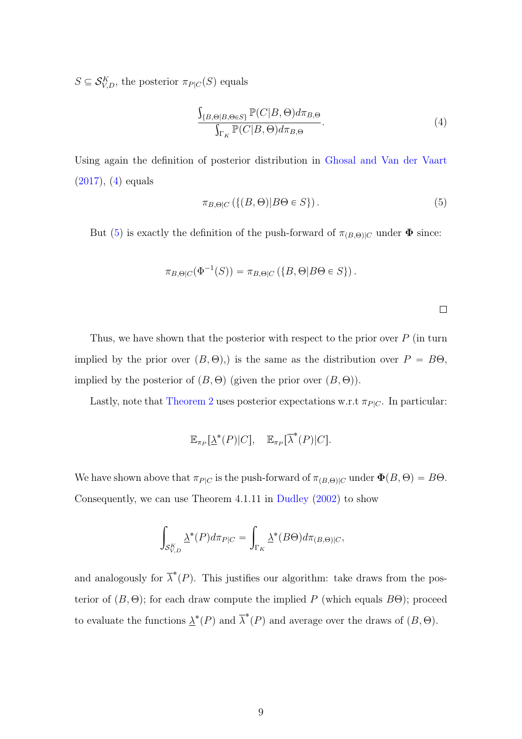$S \subseteq \mathcal{S}_{V,D}^K$ , the posterior  $\pi_{P|C}(S)$  equals

<span id="page-8-0"></span>
$$
\frac{\int_{\{B,\Theta|B,\Theta\in S\}} \mathbb{P}(C|B,\Theta) d\pi_{B,\Theta}}{\int_{\Gamma_K} \mathbb{P}(C|B,\Theta) d\pi_{B,\Theta}}.
$$
\n(4)

Using again the definition of posterior distribution in [Ghosal and Van der Vaart](#page-19-1)  $(2017), (4)$  $(2017), (4)$  $(2017), (4)$  equals

<span id="page-8-1"></span>
$$
\pi_{B,\Theta|C} \left( \{ (B,\Theta)|B\Theta \in S \} \right). \tag{5}
$$

But [\(5\)](#page-8-1) is exactly the definition of the push-forward of  $\pi_{(B,\Theta)|C}$  under  $\Phi$  since:

$$
\pi_{B,\Theta|C}(\Phi^{-1}(S)) = \pi_{B,\Theta|C}(\{B,\Theta|B\Theta\in S\}).
$$

 $\Box$ 

Thus, we have shown that the posterior with respect to the prior over  $P$  (in turn implied by the prior over  $(B, \Theta)$ ,) is the same as the distribution over  $P = B\Theta$ , implied by the posterior of  $(B, \Theta)$  (given the prior over  $(B, \Theta)$ ).

Lastly, note that Theorem 2 uses posterior expectations w.r.t  $\pi_{PlC}$ . In particular:

$$
\mathbb{E}_{\pi_P}[\underline{\lambda}^*(P)|C], \quad \mathbb{E}_{\pi_P}[\overline{\lambda}^*(P)|C].
$$

We have shown above that  $\pi_{P|C}$  is the push-forward of  $\pi_{(B,\Theta)|C}$  under  $\Phi(B,\Theta) = B\Theta$ . Consequently, we can use Theorem 4.1.11 in [Dudley](#page-19-3) [\(2002\)](#page-19-3) to show

$$
\int_{\mathcal{S}_{V,D}^K} \underline{\lambda}^*(P) d\pi_{P|C} = \int_{\Gamma_K} \underline{\lambda}^*(B\Theta) d\pi_{(B,\Theta)|C},
$$

and analogously for  $\overline{\lambda}^*(P)$ . This justifies our algorithm: take draws from the posterior of  $(B, \Theta)$ ; for each draw compute the implied P (which equals  $B\Theta$ ); proceed to evaluate the functions  $\underline{\lambda}^*(P)$  and  $\overline{\lambda}^*(P)$  and average over the draws of  $(B, \Theta)$ .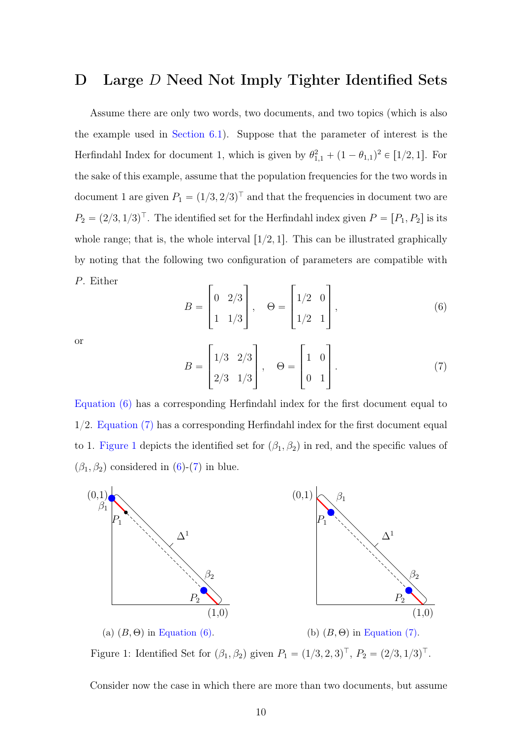### D Large D Need Not Imply Tighter Identified Sets

Assume there are only two words, two documents, and two topics (which is also the example used in Section 6.1). Suppose that the parameter of interest is the Herfindahl Index for document 1, which is given by  $\theta_{1,1}^2 + (1 - \theta_{1,1})^2 \in [1/2, 1]$ . For the sake of this example, assume that the population frequencies for the two words in document 1 are given  $P_1 = (1/3, 2/3)^T$  and that the frequencies in document two are  $P_2 = (2/3, 1/3)^{\top}$ . The identified set for the Herfindahl index given  $P = [P_1, P_2]$  is its whole range; that is, the whole interval  $\lceil 1/2, 1 \rceil$ . This can be illustrated graphically by noting that the following two configuration of parameters are compatible with P. Either » fi » fi

<span id="page-9-0"></span>
$$
B = \begin{bmatrix} 0 & 2/3 \\ 1 & 1/3 \end{bmatrix}, \quad \Theta = \begin{bmatrix} 1/2 & 0 \\ 1/2 & 1 \end{bmatrix}, \tag{6}
$$

or

<span id="page-9-1"></span>
$$
B = \begin{bmatrix} 1/3 & 2/3 \\ 2/3 & 1/3 \end{bmatrix}, \quad \Theta = \begin{bmatrix} 1 & 0 \\ 0 & 1 \end{bmatrix}.
$$
 (7)

[Equation \(6\)](#page-9-0) has a corresponding Herfindahl index for the first document equal to 1/2. [Equation \(7\)](#page-9-1) has a corresponding Herfindahl index for the first document equal to 1. [Figure 1](#page-9-2) depicts the identified set for  $(\beta_1, \beta_2)$  in red, and the specific values of  $(\beta_1, \beta_2)$  considered in [\(6\)](#page-9-0)-[\(7\)](#page-9-1) in blue.

<span id="page-9-2"></span>

Figure 1: Identified Set for  $(\beta_1, \beta_2)$  given  $P_1 = (1/3, 2, 3)^T$ ,  $P_2 = (2/3, 1/3)^T$ .

Consider now the case in which there are more than two documents, but assume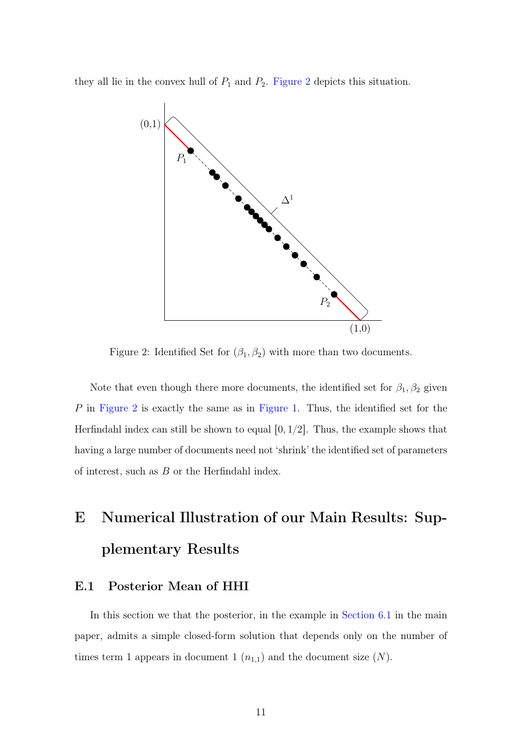<span id="page-10-0"></span>they all lie in the convex hull of  $P_1$  and  $P_2$ . [Figure 2](#page-10-0) depicts this situation.



Figure 2: Identified Set for  $(\beta_1, \beta_2)$  with more than two documents.

Note that even though there more documents, the identified set for  $\beta_1, \beta_2$  given P in [Figure 2](#page-10-0) is exactly the same as in [Figure 1.](#page-9-2) Thus, the identified set for the Herfindahl index can still be shown to equal  $[0, 1/2]$ . Thus, the example shows that having a large number of documents need not 'shrink' the identified set of parameters of interest, such as  $B$  or the Herfindahl index.

## E Numerical Illustration of our Main Results: Supplementary Results

#### <span id="page-10-1"></span>E.1 Posterior Mean of HHI

In this section we that the posterior, in the example in Section 6.1 in the main paper, admits a simple closed-form solution that depends only on the number of times term 1 appears in document 1  $(n_{1,1})$  and the document size  $(N)$ .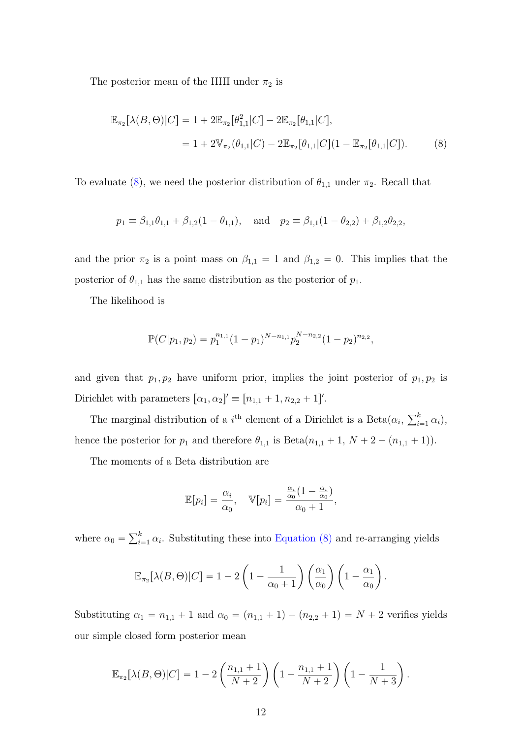The posterior mean of the HHI under  $\pi_2$  is

<span id="page-11-0"></span>
$$
\mathbb{E}_{\pi_2}[\lambda(B,\Theta)|C] = 1 + 2\mathbb{E}_{\pi_2}[\theta_{1,1}^2|C] - 2\mathbb{E}_{\pi_2}[\theta_{1,1}|C],
$$
  
= 1 + 2 $\mathbb{V}_{\pi_2}(\theta_{1,1}|C) - 2\mathbb{E}_{\pi_2}[\theta_{1,1}|C](1 - \mathbb{E}_{\pi_2}[\theta_{1,1}|C]).$  (8)

To evaluate [\(8\)](#page-11-0), we need the posterior distribution of  $\theta_{1,1}$  under  $\pi_2$ . Recall that

$$
p_1 \equiv \beta_{1,1}\theta_{1,1} + \beta_{1,2}(1-\theta_{1,1}),
$$
 and  $p_2 \equiv \beta_{1,1}(1-\theta_{2,2}) + \beta_{1,2}\theta_{2,2},$ 

and the prior  $\pi_2$  is a point mass on  $\beta_{1,1} = 1$  and  $\beta_{1,2} = 0$ . This implies that the posterior of  $\theta_{1,1}$  has the same distribution as the posterior of  $p_1$ .

The likelihood is

$$
\mathbb{P}(C|p_1, p_2) = p_1^{n_{1,1}}(1-p_1)^{N-n_{1,1}} p_2^{N-n_{2,2}}(1-p_2)^{n_{2,2}},
$$

and given that  $p_1, p_2$  have uniform prior, implies the joint posterior of  $p_1, p_2$  is Dirichlet with parameters  $[\alpha_1, \alpha_2]' \equiv [n_{1,1} + 1, n_{2,2} + 1]'$ .

The marginal distribution of a  $i^{\text{th}}$  element of a Dirichlet is a Beta $(\alpha_i, \sum_{i=1}^{k} \alpha_i)$  $\sum_{i=1}^k \alpha_i$ , hence the posterior for  $p_1$  and therefore  $\theta_{1,1}$  is  $Beta(n_{1,1} + 1, N + 2 - (n_{1,1} + 1)).$ 

The moments of a Beta distribution are

$$
\mathbb{E}[p_i] = \frac{\alpha_i}{\alpha_0}, \quad \mathbb{V}[p_i] = \frac{\frac{\alpha_i}{\alpha_0}(1 - \frac{\alpha_i}{\alpha_0})}{\alpha_0 + 1},
$$

where  $\alpha_0 = \sum_{i=1}^{k}$  $\sum_{i=1}^{k} \alpha_i$ . Substituting these into [Equation \(8\)](#page-11-0) and re-arranging yields

$$
\mathbb{E}_{\pi_2}[\lambda(B,\Theta)|C] = 1 - 2\left(1 - \frac{1}{\alpha_0 + 1}\right)\left(\frac{\alpha_1}{\alpha_0}\right)\left(1 - \frac{\alpha_1}{\alpha_0}\right).
$$

Substituting  $\alpha_1 = n_{1,1} + 1$  and  $\alpha_0 = (n_{1,1} + 1) + (n_{2,2} + 1) = N + 2$  verifies yields our simple closed form posterior mean

$$
\mathbb{E}_{\pi_2}[\lambda(B,\Theta)|C] = 1 - 2\left(\frac{n_{1,1}+1}{N+2}\right)\left(1 - \frac{n_{1,1}+1}{N+2}\right)\left(1 - \frac{1}{N+3}\right).
$$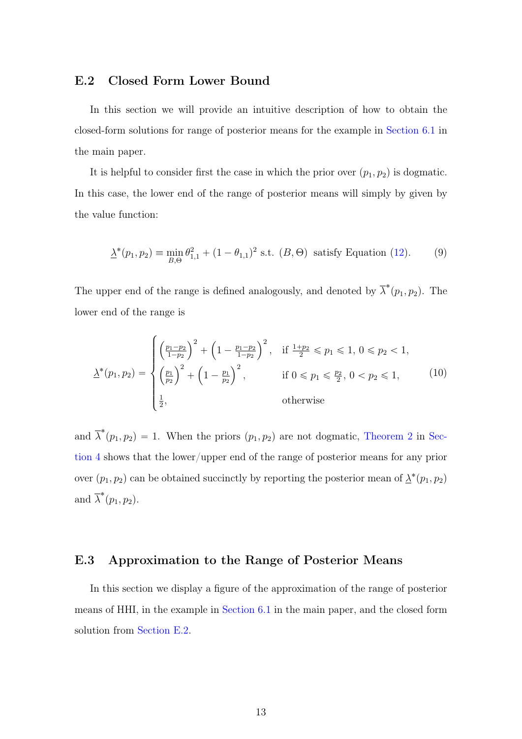#### <span id="page-12-0"></span>E.2 Closed Form Lower Bound

In this section we will provide an intuitive description of how to obtain the closed-form solutions for range of posterior means for the example in Section 6.1 in the main paper.

It is helpful to consider first the case in which the prior over  $(p_1, p_2)$  is dogmatic. In this case, the lower end of the range of posterior means will simply by given by the value function:

<span id="page-12-1"></span>
$$
\underline{\lambda}^*(p_1, p_2) \equiv \min_{B, \Theta} \theta_{1,1}^2 + (1 - \theta_{1,1})^2 \text{ s.t. } (B, \Theta) \text{ satisfy Equation (12).}
$$
 (9)

The upper end of the range is defined analogously, and denoted by  $\overline{\lambda}^*(p_1, p_2)$ . The lower end of the range is

$$
\underline{\lambda}^*(p_1, p_2) = \begin{cases} \left(\frac{p_1 - p_2}{1 - p_2}\right)^2 + \left(1 - \frac{p_1 - p_2}{1 - p_2}\right)^2, & \text{if } \frac{1 + p_2}{2} \leq p_1 \leq 1, 0 \leq p_2 < 1, \\ \left(\frac{p_1}{p_2}\right)^2 + \left(1 - \frac{p_1}{p_2}\right)^2, & \text{if } 0 \leq p_1 \leq \frac{p_2}{2}, 0 < p_2 \leq 1, \\ \frac{1}{2}, & \text{otherwise} \end{cases} \tag{10}
$$

and  $\overline{\lambda}^*(p_1, p_2) = 1$ . When the priors  $(p_1, p_2)$  are not dogmatic, Theorem 2 in Section 4 shows that the lower/upper end of the range of posterior means for any prior over  $(p_1, p_2)$  can be obtained succinctly by reporting the posterior mean of  $\lambda^*(p_1, p_2)$ and  $\overline{\lambda}^*(p_1, p_2)$ .

#### E.3 Approximation to the Range of Posterior Means

In this section we display a figure of the approximation of the range of posterior means of HHI, in the example in Section 6.1 in the main paper, and the closed form solution from [Section E.2.](#page-12-0)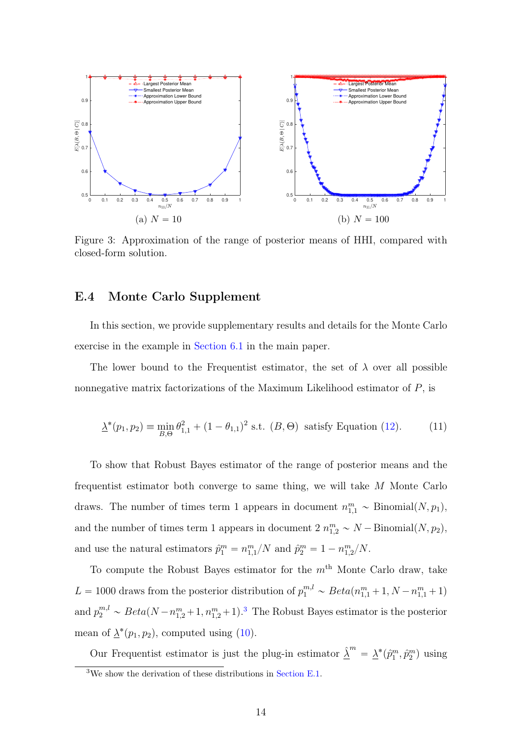

Figure 3: Approximation of the range of posterior means of HHI, compared with closed-form solution.

#### E.4 Monte Carlo Supplement

In this section, we provide supplementary results and details for the Monte Carlo exercise in the example in Section 6.1 in the main paper.

The lower bound to the Frequentist estimator, the set of  $\lambda$  over all possible nonnegative matrix factorizations of the Maximum Likelihood estimator of  $P$ , is

$$
\underline{\lambda}^*(p_1, p_2) \equiv \min_{B, \Theta} \theta_{1,1}^2 + (1 - \theta_{1,1})^2 \text{ s.t. } (B, \Theta) \text{ satisfy Equation (12).}
$$
 (11)

To show that Robust Bayes estimator of the range of posterior means and the frequentist estimator both converge to same thing, we will take M Monte Carlo draws. The number of times term 1 appears in document  $n_{1,1}^m \sim \text{Binomial}(N, p_1)$ , and the number of times term 1 appears in document  $2 n_{1,2}^m \sim N - \text{Binomial}(N, p_2)$ , and use the natural estimators  $\hat{p}_1^m = n_{1,1}^m/N$  and  $\hat{p}_2^m = 1 - n_{1,2}^m/N$ .

To compute the Robust Bayes estimator for the  $m<sup>th</sup>$  Monte Carlo draw, take  $L = 1000$  draws from the posterior distribution of  $p_1^{m,l} \sim Beta(n_{1,1}^m + 1, N - n_{1,1}^m + 1)$ and  $p_2^{m,l} \sim Beta(N - n_{1,2}^m + 1, n_{1,2}^m + 1)^3$  $p_2^{m,l} \sim Beta(N - n_{1,2}^m + 1, n_{1,2}^m + 1)^3$  The Robust Bayes estimator is the posterior mean of  $\underline{\lambda}^*(p_1, p_2)$ , computed using [\(10\)](#page-12-1).

Our Frequentist estimator is just the plug-in estimator  $\hat{\underline{\lambda}}^m = \underline{\lambda}^*(\hat{p}_1^m, \hat{p}_2^m)$  using

<span id="page-13-0"></span><sup>3</sup>We show the derivation of these distributions in [Section E.1.](#page-10-1)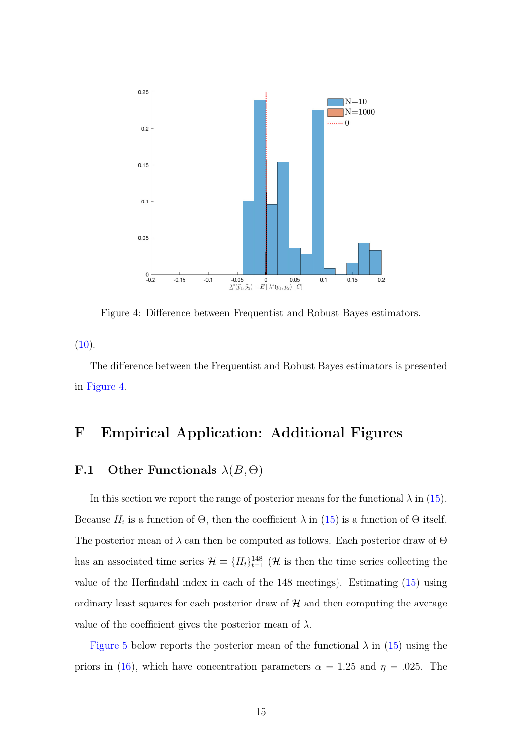<span id="page-14-0"></span>

Figure 4: Difference between Frequentist and Robust Bayes estimators.

 $(10).$  $(10).$ 

The difference between the Frequentist and Robust Bayes estimators is presented in [Figure 4.](#page-14-0)

## F Empirical Application: Additional Figures

#### F.1 Other Functionals  $\lambda(B, \Theta)$

In this section we report the range of posterior means for the functional  $\lambda$  in (15). Because  $H_t$  is a function of  $\Theta$ , then the coefficient  $\lambda$  in (15) is a function of  $\Theta$  itself. The posterior mean of  $\lambda$  can then be computed as follows. Each posterior draw of  $\Theta$ has an associated time series  $\mathcal{H} = \{H_t\}_{t=1}^{148}$  (H is then the time series collecting the value of the Herfindahl index in each of the 148 meetings). Estimating (15) using ordinary least squares for each posterior draw of  $H$  and then computing the average value of the coefficient gives the posterior mean of  $\lambda$ .

[Figure 5](#page-15-0) below reports the posterior mean of the functional  $\lambda$  in (15) using the priors in (16), which have concentration parameters  $\alpha = 1.25$  and  $\eta = .025$ . The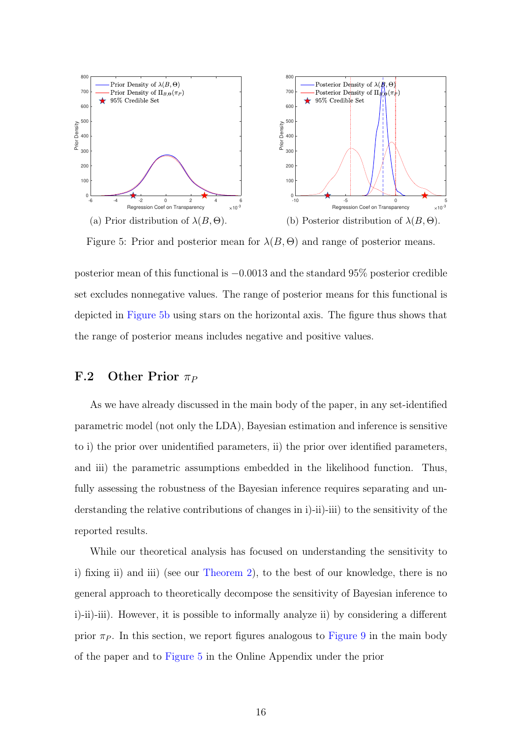<span id="page-15-0"></span>

Figure 5: Prior and posterior mean for  $\lambda(B, \Theta)$  and range of posterior means.

posterior mean of this functional is  $-0.0013$  and the standard 95% posterior credible set excludes nonnegative values. The range of posterior means for this functional is depicted in [Figure 5b](#page-15-0) using stars on the horizontal axis. The figure thus shows that the range of posterior means includes negative and positive values.

#### F.2 Other Prior  $\pi_P$

As we have already discussed in the main body of the paper, in any set-identified parametric model (not only the LDA), Bayesian estimation and inference is sensitive to i) the prior over unidentified parameters, ii) the prior over identified parameters, and iii) the parametric assumptions embedded in the likelihood function. Thus, fully assessing the robustness of the Bayesian inference requires separating and understanding the relative contributions of changes in i)-ii)-iii) to the sensitivity of the reported results.

While our theoretical analysis has focused on understanding the sensitivity to i) fixing ii) and iii) (see our Theorem 2), to the best of our knowledge, there is no general approach to theoretically decompose the sensitivity of Bayesian inference to i)-ii)-iii). However, it is possible to informally analyze ii) by considering a different prior  $\pi_P$ . In this section, we report figures analogous to [Figure 9](#page-18-0) in the main body of the paper and to [Figure 5](#page-15-0) in the Online Appendix under the prior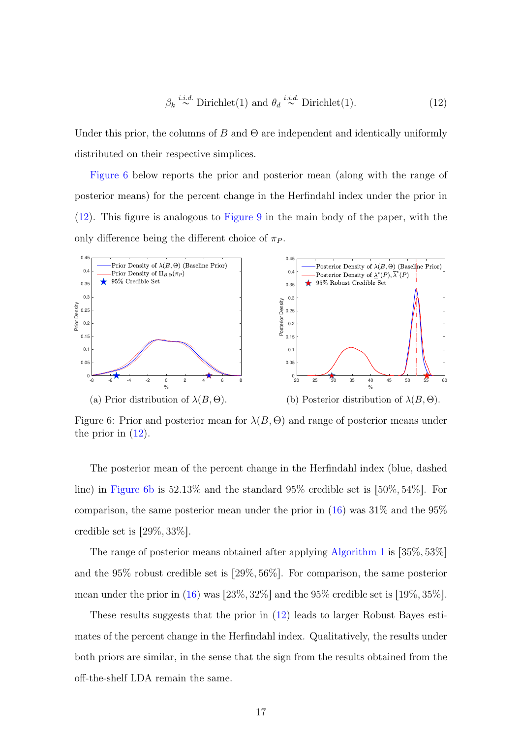<span id="page-16-1"></span>
$$
\beta_k \stackrel{i.i.d.}{\sim} \text{Dirichlet}(1) \text{ and } \theta_d \stackrel{i.i.d.}{\sim} \text{Dirichlet}(1).
$$
 (12)

Under this prior, the columns of B and  $\Theta$  are independent and identically uniformly distributed on their respective simplices.

[Figure 6](#page-16-0) below reports the prior and posterior mean (along with the range of posterior means) for the percent change in the Herfindahl index under the prior in [\(12\)](#page-16-1). This figure is analogous to [Figure 9](#page-18-0) in the main body of the paper, with the only difference being the different choice of  $\pi_P$ .

<span id="page-16-0"></span>

Figure 6: Prior and posterior mean for  $\lambda(B, \Theta)$  and range of posterior means under the prior in  $(12)$ .

The posterior mean of the percent change in the Herfindahl index (blue, dashed line) in [Figure 6b](#page-16-0) is  $52.13\%$  and the standard  $95\%$  credible set is  $[50\%, 54\%]$ . For comparison, the same posterior mean under the prior in  $(16)$  was  $31\%$  and the  $95\%$ credible set is  $[29\%, 33\%]$ .

The range of posterior means obtained after applying Algorithm 1 is  $[35\%, 53\%]$ and the  $95\%$  robust credible set is  $[29\%, 56\%]$ . For comparison, the same posterior mean under the prior in (16) was  $[23\%, 32\%]$  and the 95% credible set is  $[19\%, 35\%]$ .

These results suggests that the prior in [\(12\)](#page-16-1) leads to larger Robust Bayes estimates of the percent change in the Herfindahl index. Qualitatively, the results under both priors are similar, in the sense that the sign from the results obtained from the off-the-shelf LDA remain the same.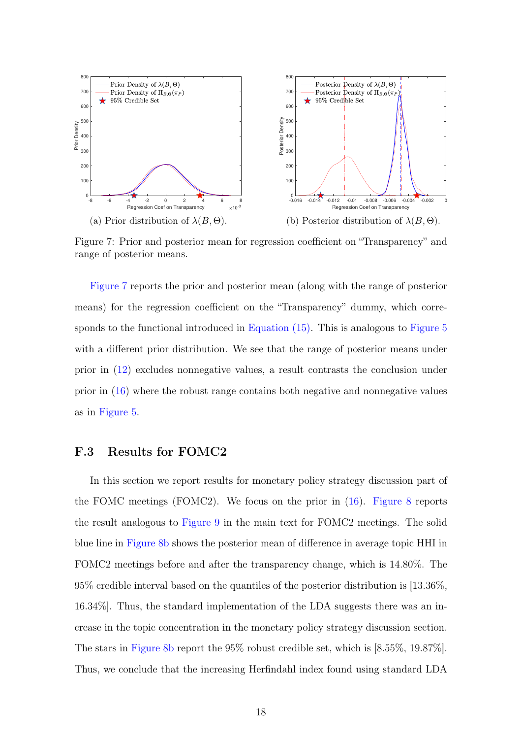<span id="page-17-0"></span>

Figure 7: Prior and posterior mean for regression coefficient on "Transparency" and range of posterior means.

[Figure 7](#page-17-0) reports the prior and posterior mean (along with the range of posterior means) for the regression coefficient on the "Transparency" dummy, which corresponds to the functional introduced in Equation (15). This is analogous to [Figure 5](#page-15-0) with a different prior distribution. We see that the range of posterior means under prior in [\(12\)](#page-16-1) excludes nonnegative values, a result contrasts the conclusion under prior in (16) where the robust range contains both negative and nonnegative values as in [Figure 5.](#page-15-0)

#### F.3 Results for FOMC2

In this section we report results for monetary policy strategy discussion part of the FOMC meetings (FOMC2). We focus on the prior in  $(16)$ . [Figure 8](#page-18-1) reports the result analogous to [Figure 9](#page-18-0) in the main text for FOMC2 meetings. The solid blue line in [Figure 8b](#page-18-1) shows the posterior mean of difference in average topic HHI in FOMC2 meetings before and after the transparency change, which is 14.80%. The 95% credible interval based on the quantiles of the posterior distribution is [13.36%, 16.34%]. Thus, the standard implementation of the LDA suggests there was an increase in the topic concentration in the monetary policy strategy discussion section. The stars in [Figure 8b](#page-18-1) report the 95% robust credible set, which is [8.55%, 19.87%]. Thus, we conclude that the increasing Herfindahl index found using standard LDA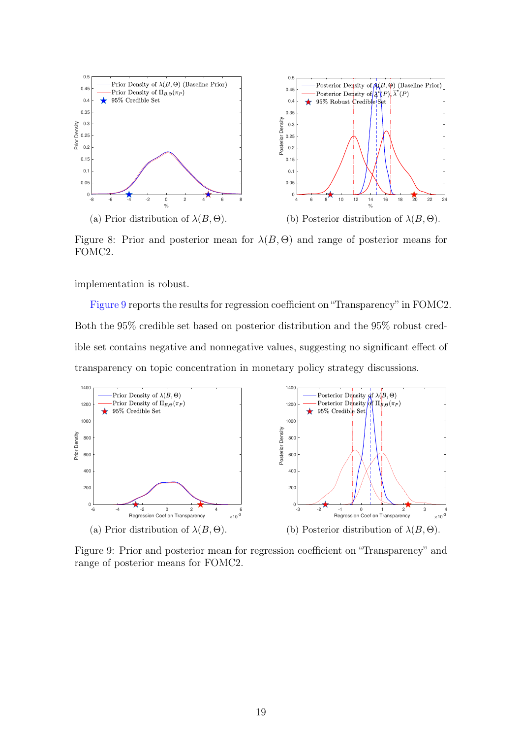<span id="page-18-1"></span>

Figure 8: Prior and posterior mean for  $\lambda(B, \Theta)$  and range of posterior means for FOMC2.

implementation is robust.

[Figure 9](#page-18-0) reports the results for regression coefficient on "Transparency" in FOMC2. Both the 95% credible set based on posterior distribution and the 95% robust credible set contains negative and nonnegative values, suggesting no significant effect of transparency on topic concentration in monetary policy strategy discussions.

<span id="page-18-0"></span>

Figure 9: Prior and posterior mean for regression coefficient on "Transparency" and range of posterior means for FOMC2.